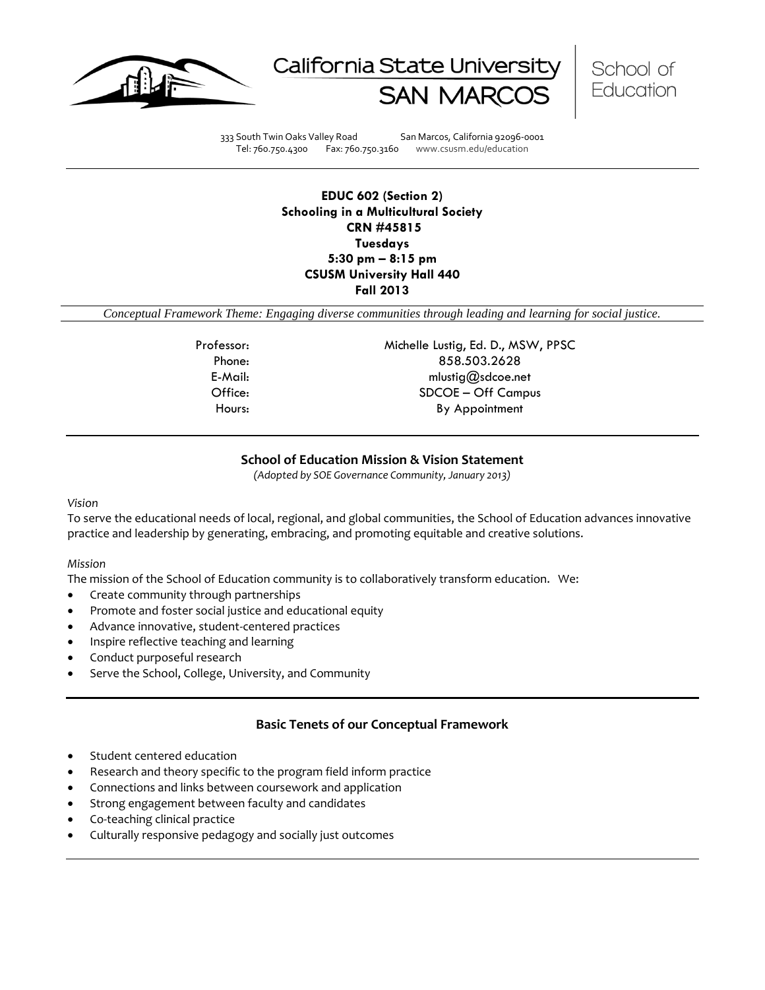





333 South Twin Oaks Valley Road San Marcos, California 92096-0001 Tel: 760.750.4300 Fax: 760.750.3160 www.csusm.edu/education

**EDUC 602 (Section 2) Schooling in a Multicultural Society CRN #45815 Tuesdays 5:30 pm – 8:15 pm CSUSM University Hall 440 Fall 2013** 

*Conceptual Framework Theme: Engaging diverse communities through leading and learning for social justice.*

Professor: Michelle Lustig, Ed. D., MSW, PPSC Phone: 858.503.2628 E-Mail: mlustig@sdcoe.net Office: SDCOE – Off Campus Hours: By Appointment

#### **School of Education Mission & Vision Statement**

*(Adopted by SOE Governance Community, January 2013)*

#### *Vision*

To serve the educational needs of local, regional, and global communities, the School of Education advances innovative practice and leadership by generating, embracing, and promoting equitable and creative solutions.

#### *Mission*

The mission of the School of Education community is to collaboratively transform education. We:

- Create community through partnerships
- Promote and foster social justice and educational equity
- Advance innovative, student-centered practices
- Inspire reflective teaching and learning
- Conduct purposeful research
- Serve the School, College, University, and Community

#### **Basic Tenets of our Conceptual Framework**

- Student centered education
- Research and theory specific to the program field inform practice
- Connections and links between coursework and application
- Strong engagement between faculty and candidates
- Co-teaching clinical practice
- Culturally responsive pedagogy and socially just outcomes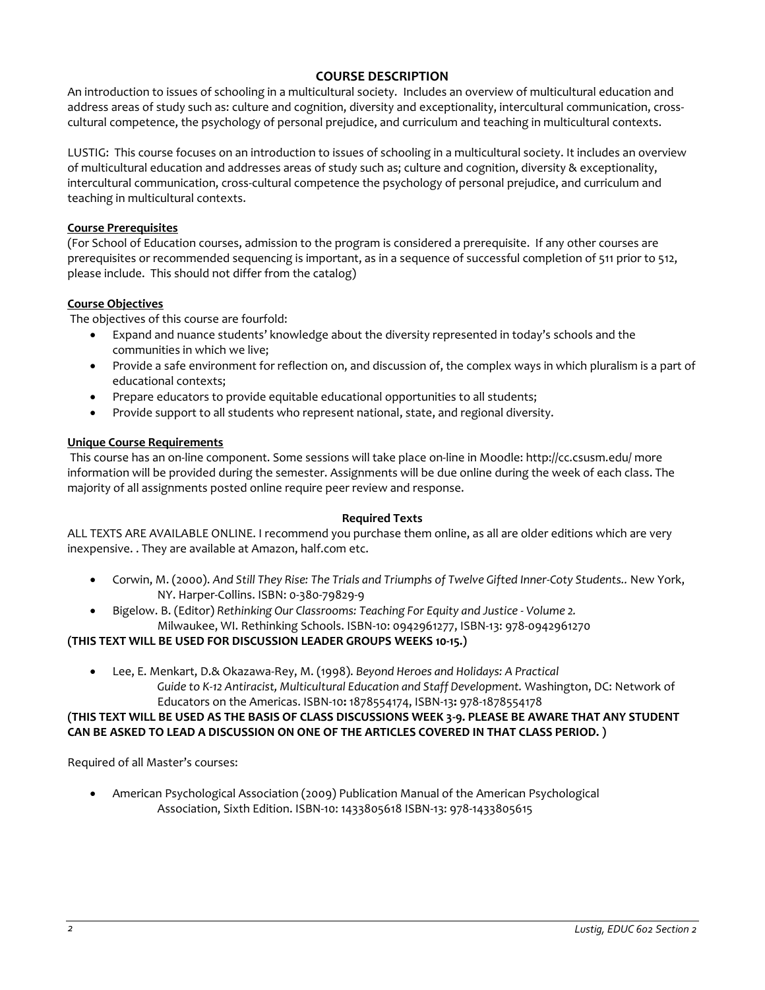## **COURSE DESCRIPTION**

An introduction to issues of schooling in a multicultural society. Includes an overview of multicultural education and address areas of study such as: culture and cognition, diversity and exceptionality, intercultural communication, crosscultural competence, the psychology of personal prejudice, and curriculum and teaching in multicultural contexts.

LUSTIG: This course focuses on an introduction to issues of schooling in a multicultural society. It includes an overview of multicultural education and addresses areas of study such as; culture and cognition, diversity & exceptionality, intercultural communication, cross-cultural competence the psychology of personal prejudice, and curriculum and teaching in multicultural contexts.

#### **Course Prerequisites**

(For School of Education courses, admission to the program is considered a prerequisite. If any other courses are prerequisites or recommended sequencing is important, as in a sequence of successful completion of 511 prior to 512, please include. This should not differ from the catalog)

#### **Course Objectives**

The objectives of this course are fourfold:

- Expand and nuance students' knowledge about the diversity represented in today's schools and the communities in which we live;
- Provide a safe environment for reflection on, and discussion of, the complex ways in which pluralism is a part of educational contexts;
- Prepare educators to provide equitable educational opportunities to all students;
- Provide support to all students who represent national, state, and regional diversity.

#### **Unique Course Requirements**

This course has an on-line component. Some sessions will take place on-line in Moodle: http://cc.csusm.edu/ more information will be provided during the semester. Assignments will be due online during the week of each class. The majority of all assignments posted online require peer review and response.

#### **Required Texts**

ALL TEXTS ARE AVAILABLE ONLINE. I recommend you purchase them online, as all are older editions which are very inexpensive. . They are available at Amazon, half.com etc.

- Corwin, M. (2000). *And Still They Rise: The Trials and Triumphs of Twelve Gifted Inner-Coty Students..* New York, NY. Harper-Collins. ISBN: 0-380-79829-9
- Bigelow. B. (Editor) *Rethinking Our Classrooms: Teaching For Equity and Justice - Volume 2.*  Milwaukee, WI. Rethinking Schools. ISBN-10: 0942961277, ISBN-13: 978-0942961270

#### **(THIS TEXT WILL BE USED FOR DISCUSSION LEADER GROUPS WEEKS 10-15.)**

 Lee, E. Menkart, D.& Okazawa-Rey, M. (1998). *Beyond Heroes and Holidays: A Practical Guide to K-12 Antiracist, Multicultural Education and Staff Development.* Washington, DC: Network of Educators on the Americas. ISBN-10**:** 1878554174, ISBN-13**:** 978-1878554178

## **(THIS TEXT WILL BE USED AS THE BASIS OF CLASS DISCUSSIONS WEEK 3-9. PLEASE BE AWARE THAT ANY STUDENT CAN BE ASKED TO LEAD A DISCUSSION ON ONE OF THE ARTICLES COVERED IN THAT CLASS PERIOD. )**

Required of all Master's courses:

 American Psychological Association (2009) Publication Manual of the American Psychological Association, Sixth Edition. ISBN-10: 1433805618 ISBN-13: 978-1433805615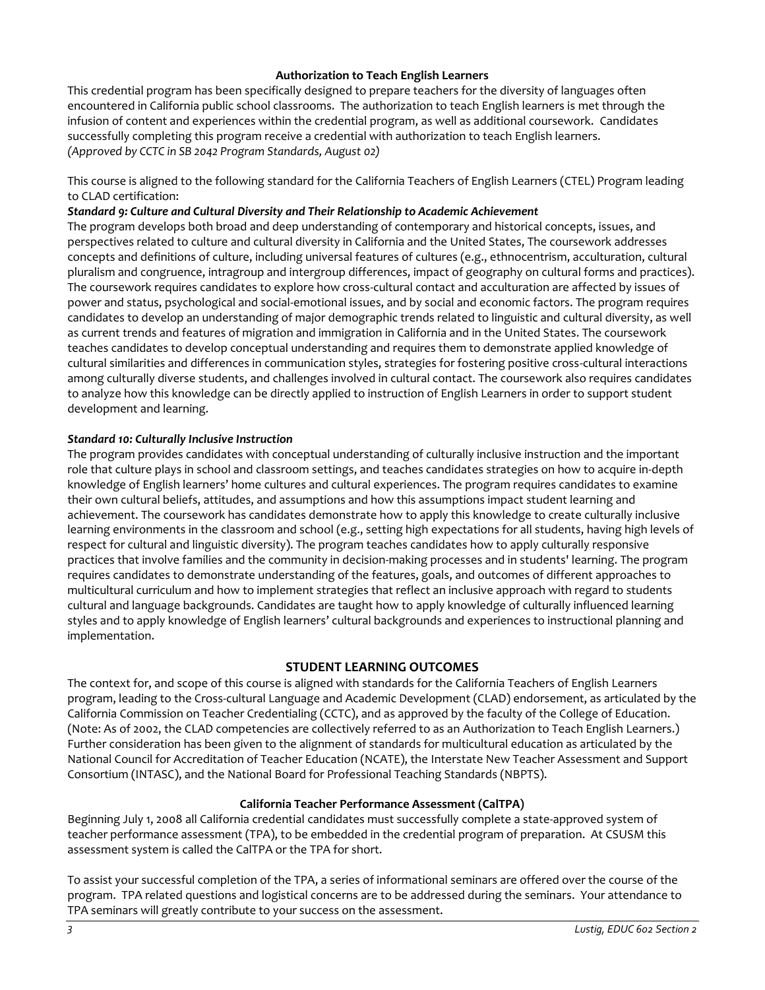#### **Authorization to Teach English Learners**

This credential program has been specifically designed to prepare teachers for the diversity of languages often encountered in California public school classrooms. The authorization to teach English learners is met through the infusion of content and experiences within the credential program, as well as additional coursework. Candidates successfully completing this program receive a credential with authorization to teach English learners. *(Approved by CCTC in SB 2042 Program Standards, August 02)*

This course is aligned to the following standard for the California Teachers of English Learners (CTEL) Program leading to CLAD certification:

#### *Standard 9: Culture and Cultural Diversity and Their Relationship to Academic Achievement*

The program develops both broad and deep understanding of contemporary and historical concepts, issues, and perspectives related to culture and cultural diversity in California and the United States, The coursework addresses concepts and definitions of culture, including universal features of cultures (e.g., ethnocentrism, acculturation, cultural pluralism and congruence, intragroup and intergroup differences, impact of geography on cultural forms and practices). The coursework requires candidates to explore how cross-cultural contact and acculturation are affected by issues of power and status, psychological and social-emotional issues, and by social and economic factors. The program requires candidates to develop an understanding of major demographic trends related to linguistic and cultural diversity, as well as current trends and features of migration and immigration in California and in the United States. The coursework teaches candidates to develop conceptual understanding and requires them to demonstrate applied knowledge of cultural similarities and differences in communication styles, strategies for fostering positive cross-cultural interactions among culturally diverse students, and challenges involved in cultural contact. The coursework also requires candidates to analyze how this knowledge can be directly applied to instruction of English Learners in order to support student development and learning.

#### *Standard 10: Culturally Inclusive Instruction*

The program provides candidates with conceptual understanding of culturally inclusive instruction and the important role that culture plays in school and classroom settings, and teaches candidates strategies on how to acquire in-depth knowledge of English learners' home cultures and cultural experiences. The program requires candidates to examine their own cultural beliefs, attitudes, and assumptions and how this assumptions impact student learning and achievement. The coursework has candidates demonstrate how to apply this knowledge to create culturally inclusive learning environments in the classroom and school (e.g., setting high expectations for all students, having high levels of respect for cultural and linguistic diversity). The program teaches candidates how to apply culturally responsive practices that involve families and the community in decision-making processes and in students' learning. The program requires candidates to demonstrate understanding of the features, goals, and outcomes of different approaches to multicultural curriculum and how to implement strategies that reflect an inclusive approach with regard to students cultural and language backgrounds. Candidates are taught how to apply knowledge of culturally influenced learning styles and to apply knowledge of English learners' cultural backgrounds and experiences to instructional planning and implementation.

## **STUDENT LEARNING OUTCOMES**

The context for, and scope of this course is aligned with standards for the California Teachers of English Learners program, leading to the Cross-cultural Language and Academic Development (CLAD) endorsement, as articulated by the California Commission on Teacher Credentialing (CCTC), and as approved by the faculty of the College of Education. (Note: As of 2002, the CLAD competencies are collectively referred to as an Authorization to Teach English Learners.) Further consideration has been given to the alignment of standards for multicultural education as articulated by the National Council for Accreditation of Teacher Education (NCATE), the Interstate New Teacher Assessment and Support Consortium (INTASC), and the National Board for Professional Teaching Standards (NBPTS).

## **California Teacher Performance Assessment (CalTPA)**

Beginning July 1, 2008 all California credential candidates must successfully complete a state-approved system of teacher performance assessment (TPA), to be embedded in the credential program of preparation. At CSUSM this assessment system is called the CalTPA or the TPA for short.

To assist your successful completion of the TPA, a series of informational seminars are offered over the course of the program. TPA related questions and logistical concerns are to be addressed during the seminars. Your attendance to TPA seminars will greatly contribute to your success on the assessment.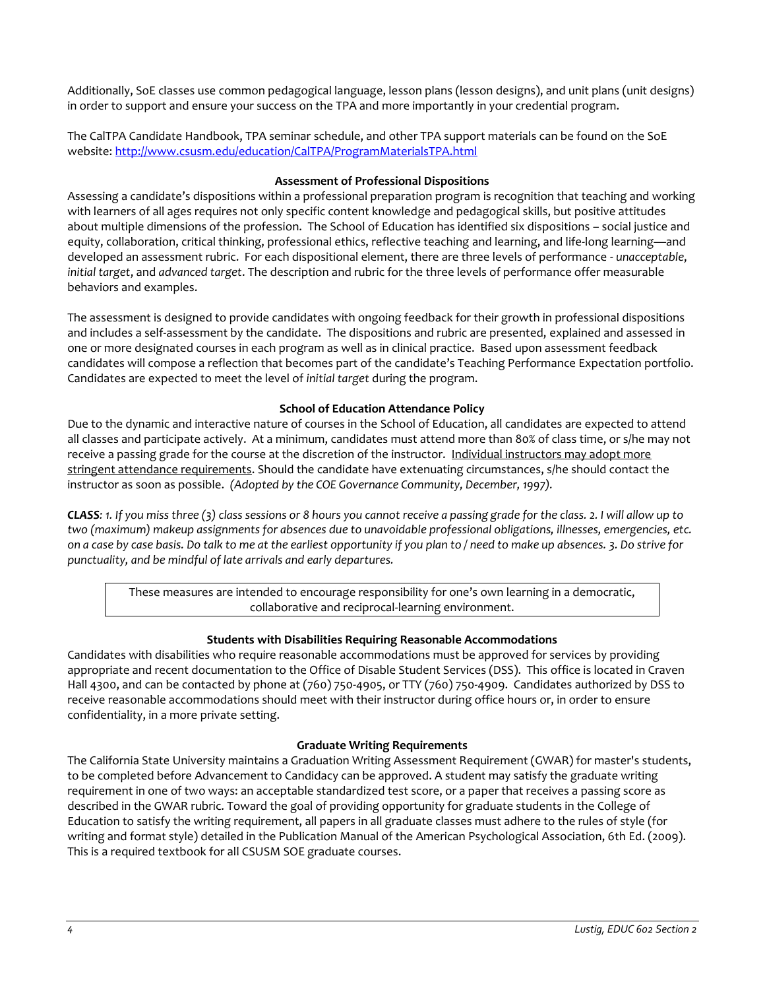Additionally, SoE classes use common pedagogical language, lesson plans (lesson designs), and unit plans (unit designs) in order to support and ensure your success on the TPA and more importantly in your credential program.

The CalTPA Candidate Handbook, TPA seminar schedule, and other TPA support materials can be found on the SoE website: <http://www.csusm.edu/education/CalTPA/ProgramMaterialsTPA.html>

#### **Assessment of Professional Dispositions**

Assessing a candidate's dispositions within a professional preparation program is recognition that teaching and working with learners of all ages requires not only specific content knowledge and pedagogical skills, but positive attitudes about multiple dimensions of the profession. The School of Education has identified six dispositions – social justice and equity, collaboration, critical thinking, professional ethics, reflective teaching and learning, and life-long learning—and developed an assessment rubric. For each dispositional element, there are three levels of performance - *unacceptable*, *initial target*, and *advanced target*. The description and rubric for the three levels of performance offer measurable behaviors and examples.

The assessment is designed to provide candidates with ongoing feedback for their growth in professional dispositions and includes a self-assessment by the candidate. The dispositions and rubric are presented, explained and assessed in one or more designated courses in each program as well as in clinical practice. Based upon assessment feedback candidates will compose a reflection that becomes part of the candidate's Teaching Performance Expectation portfolio. Candidates are expected to meet the level of *initial target* during the program.

#### **School of Education Attendance Policy**

Due to the dynamic and interactive nature of courses in the School of Education, all candidates are expected to attend all classes and participate actively. At a minimum, candidates must attend more than 80% of class time, or s/he may not receive a passing grade for the course at the discretion of the instructor. Individual instructors may adopt more stringent attendance requirements. Should the candidate have extenuating circumstances, s/he should contact the instructor as soon as possible. *(Adopted by the COE Governance Community, December, 1997).*

*CLASS: 1. If you miss three (3) class sessions or 8 hours you cannot receive a passing grade for the class. 2. I will allow up to two (maximum) makeup assignments for absences due to unavoidable professional obligations, illnesses, emergencies, etc. on a case by case basis. Do talk to me at the earliest opportunity if you plan to / need to make up absences. 3. Do strive for punctuality, and be mindful of late arrivals and early departures.* 

These measures are intended to encourage responsibility for one's own learning in a democratic, collaborative and reciprocal-learning environment.

## **Students with Disabilities Requiring Reasonable Accommodations**

Candidates with disabilities who require reasonable accommodations must be approved for services by providing appropriate and recent documentation to the Office of Disable Student Services (DSS). This office is located in Craven Hall 4300, and can be contacted by phone at (760) 750-4905, or TTY (760) 750-4909. Candidates authorized by DSS to receive reasonable accommodations should meet with their instructor during office hours or, in order to ensure confidentiality, in a more private setting.

#### **Graduate Writing Requirements**

The California State University maintains a Graduation Writing Assessment Requirement (GWAR) for master's students, to be completed before Advancement to Candidacy can be approved. A student may satisfy the graduate writing requirement in one of two ways: an acceptable standardized test score, or a paper that receives a passing score as described in the GWAR rubric. Toward the goal of providing opportunity for graduate students in the College of Education to satisfy the writing requirement, all papers in all graduate classes must adhere to the rules of style (for writing and format style) detailed in the Publication Manual of the American Psychological Association, 6th Ed. (2009). This is a required textbook for all CSUSM SOE graduate courses.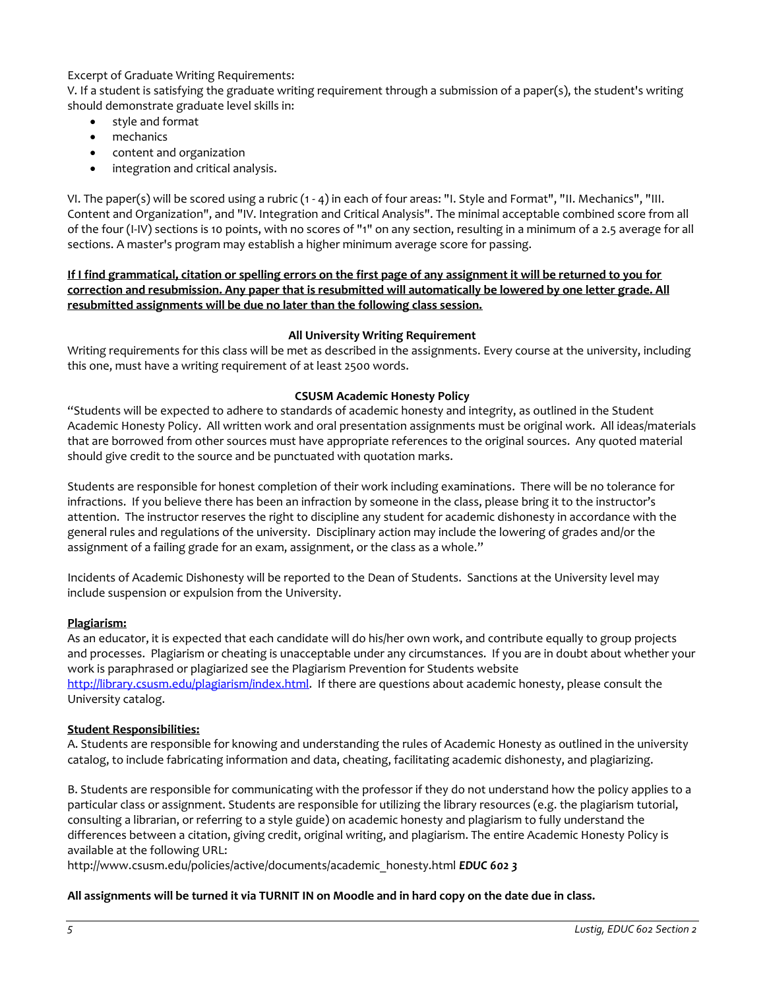Excerpt of Graduate Writing Requirements:

V. If a student is satisfying the graduate writing requirement through a submission of a paper(s), the student's writing should demonstrate graduate level skills in:

- style and format
- mechanics
- content and organization
- integration and critical analysis.

VI. The paper(s) will be scored using a rubric (1 - 4) in each of four areas: "I. Style and Format", "II. Mechanics", "III. Content and Organization", and "IV. Integration and Critical Analysis". The minimal acceptable combined score from all of the four (I-IV) sections is 10 points, with no scores of "1" on any section, resulting in a minimum of a 2.5 average for all sections. A master's program may establish a higher minimum average score for passing.

**If I find grammatical, citation or spelling errors on the first page of any assignment it will be returned to you for correction and resubmission. Any paper that is resubmitted will automatically be lowered by one letter grade. All resubmitted assignments will be due no later than the following class session.**

#### **All University Writing Requirement**

Writing requirements for this class will be met as described in the assignments. Every course at the university, including this one, must have a writing requirement of at least 2500 words.

#### **CSUSM Academic Honesty Policy**

"Students will be expected to adhere to standards of academic honesty and integrity, as outlined in the Student Academic Honesty Policy. All written work and oral presentation assignments must be original work. All ideas/materials that are borrowed from other sources must have appropriate references to the original sources. Any quoted material should give credit to the source and be punctuated with quotation marks.

Students are responsible for honest completion of their work including examinations. There will be no tolerance for infractions. If you believe there has been an infraction by someone in the class, please bring it to the instructor's attention. The instructor reserves the right to discipline any student for academic dishonesty in accordance with the general rules and regulations of the university. Disciplinary action may include the lowering of grades and/or the assignment of a failing grade for an exam, assignment, or the class as a whole."

Incidents of Academic Dishonesty will be reported to the Dean of Students. Sanctions at the University level may include suspension or expulsion from the University.

#### **Plagiarism:**

As an educator, it is expected that each candidate will do his/her own work, and contribute equally to group projects and processes. Plagiarism or cheating is unacceptable under any circumstances. If you are in doubt about whether your work is paraphrased or plagiarized see the Plagiarism Prevention for Students website [http://library.csusm.edu/plagiarism/index.html.](http://library.csusm.edu/plagiarism/index.html) If there are questions about academic honesty, please consult the University catalog.

## **Student Responsibilities:**

A. Students are responsible for knowing and understanding the rules of Academic Honesty as outlined in the university catalog, to include fabricating information and data, cheating, facilitating academic dishonesty, and plagiarizing.

B. Students are responsible for communicating with the professor if they do not understand how the policy applies to a particular class or assignment. Students are responsible for utilizing the library resources (e.g. the plagiarism tutorial, consulting a librarian, or referring to a style guide) on academic honesty and plagiarism to fully understand the differences between a citation, giving credit, original writing, and plagiarism. The entire Academic Honesty Policy is available at the following URL:

http://www.csusm.edu/policies/active/documents/academic\_honesty.html *EDUC 602 3* 

#### **All assignments will be turned it via TURNIT IN on Moodle and in hard copy on the date due in class.**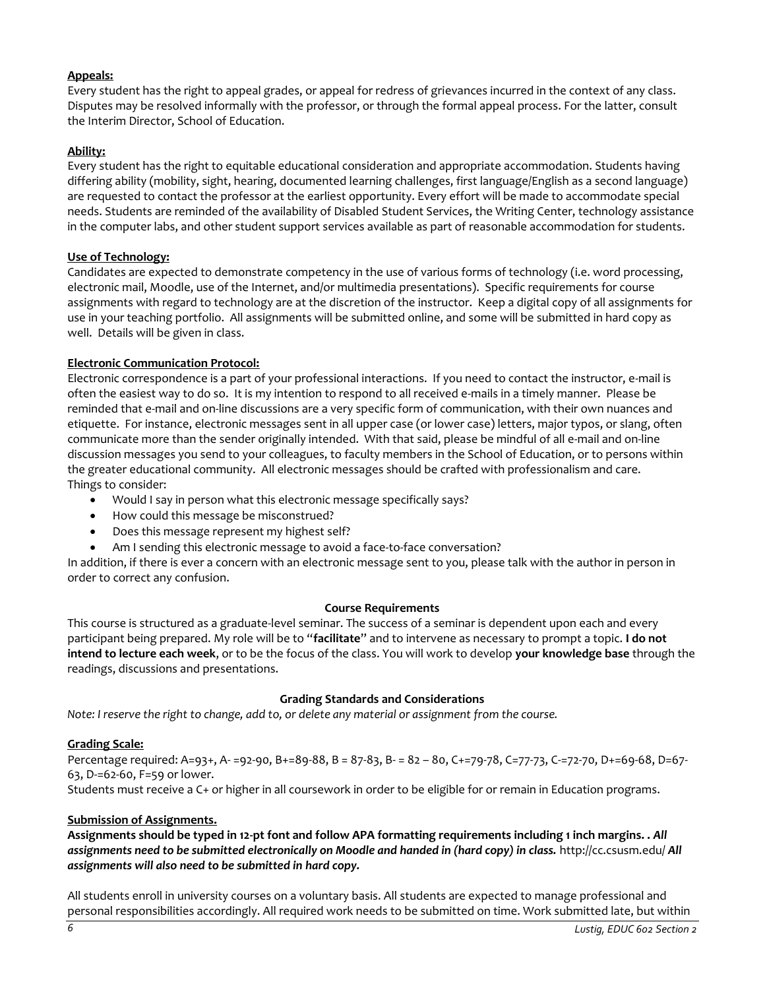## **Appeals:**

Every student has the right to appeal grades, or appeal for redress of grievances incurred in the context of any class. Disputes may be resolved informally with the professor, or through the formal appeal process. For the latter, consult the Interim Director, School of Education.

## **Ability:**

Every student has the right to equitable educational consideration and appropriate accommodation. Students having differing ability (mobility, sight, hearing, documented learning challenges, first language/English as a second language) are requested to contact the professor at the earliest opportunity. Every effort will be made to accommodate special needs. Students are reminded of the availability of Disabled Student Services, the Writing Center, technology assistance in the computer labs, and other student support services available as part of reasonable accommodation for students.

## **Use of Technology:**

Candidates are expected to demonstrate competency in the use of various forms of technology (i.e. word processing, electronic mail, Moodle, use of the Internet, and/or multimedia presentations). Specific requirements for course assignments with regard to technology are at the discretion of the instructor. Keep a digital copy of all assignments for use in your teaching portfolio. All assignments will be submitted online, and some will be submitted in hard copy as well. Details will be given in class.

## **Electronic Communication Protocol:**

Electronic correspondence is a part of your professional interactions. If you need to contact the instructor, e-mail is often the easiest way to do so. It is my intention to respond to all received e-mails in a timely manner. Please be reminded that e-mail and on-line discussions are a very specific form of communication, with their own nuances and etiquette. For instance, electronic messages sent in all upper case (or lower case) letters, major typos, or slang, often communicate more than the sender originally intended. With that said, please be mindful of all e-mail and on-line discussion messages you send to your colleagues, to faculty members in the School of Education, or to persons within the greater educational community. All electronic messages should be crafted with professionalism and care. Things to consider:

- Would I say in person what this electronic message specifically says?
- How could this message be misconstrued?
- Does this message represent my highest self?
- Am I sending this electronic message to avoid a face-to-face conversation?

In addition, if there is ever a concern with an electronic message sent to you, please talk with the author in person in order to correct any confusion.

## **Course Requirements**

This course is structured as a graduate-level seminar. The success of a seminar is dependent upon each and every participant being prepared. My role will be to "**facilitate**" and to intervene as necessary to prompt a topic. **I do not intend to lecture each week**, or to be the focus of the class. You will work to develop **your knowledge base** through the readings, discussions and presentations.

## **Grading Standards and Considerations**

*Note: I reserve the right to change, add to, or delete any material or assignment from the course.* 

## **Grading Scale:**

Percentage required: A=93+, A- =92-90, B+=89-88, B = 87-83, B- = 82 – 80, C+=79-78, C=77-73, C-=72-70, D+=69-68, D=67- 63, D-=62-60, F=59 or lower.

Students must receive a C+ or higher in all coursework in order to be eligible for or remain in Education programs.

## **Submission of Assignments.**

**Assignments should be typed in 12-pt font and follow APA formatting requirements including 1 inch margins. .** *All assignments need to be submitted electronically on Moodle and handed in (hard copy) in class.* http://cc.csusm.edu/ *All assignments will also need to be submitted in hard copy.* 

All students enroll in university courses on a voluntary basis. All students are expected to manage professional and personal responsibilities accordingly. All required work needs to be submitted on time. Work submitted late, but within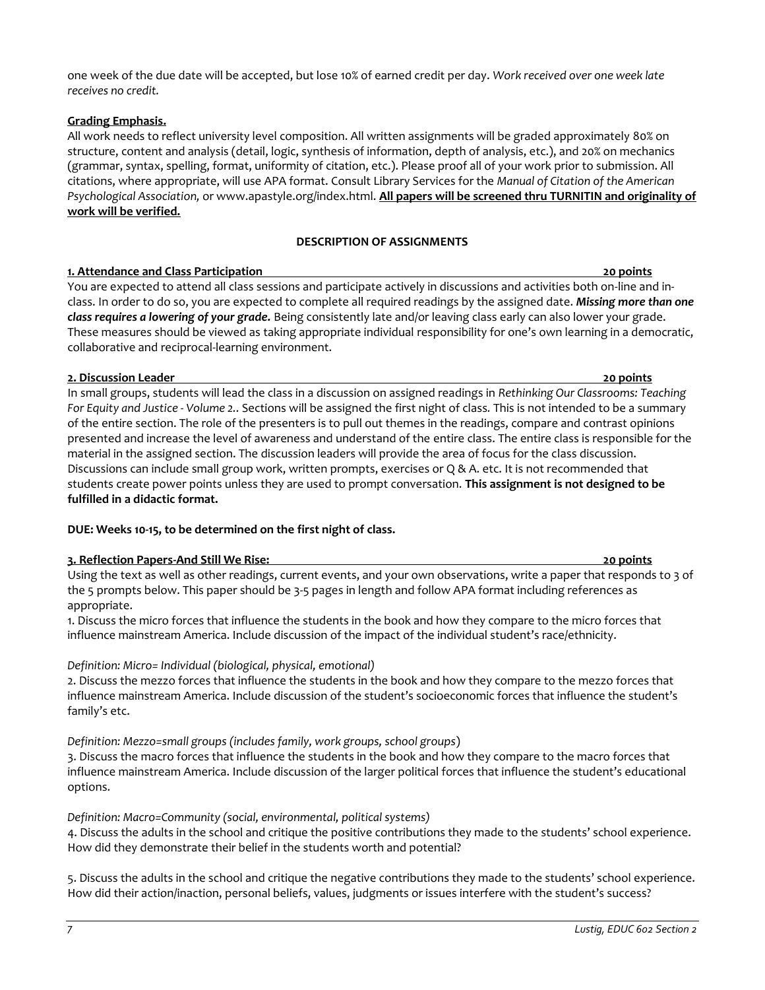one week of the due date will be accepted, but lose 10% of earned credit per day. *Work received over one week late receives no credit.* 

## **Grading Emphasis.**

All work needs to reflect university level composition. All written assignments will be graded approximately 80% on structure, content and analysis (detail, logic, synthesis of information, depth of analysis, etc.), and 20% on mechanics (grammar, syntax, spelling, format, uniformity of citation, etc.). Please proof all of your work prior to submission. All citations, where appropriate, will use APA format. Consult Library Services for the *Manual of Citation of the American Psychological Association,* or www.apastyle.org/index.html. **All papers will be screened thru TURNITIN and originality of work will be verified.** 

## **DESCRIPTION OF ASSIGNMENTS**

## **1. Attendance and Class Participation 20 points**

You are expected to attend all class sessions and participate actively in discussions and activities both on-line and inclass. In order to do so, you are expected to complete all required readings by the assigned date. *Missing more than one class requires a lowering of your grade.* Being consistently late and/or leaving class early can also lower your grade. These measures should be viewed as taking appropriate individual responsibility for one's own learning in a democratic, collaborative and reciprocal-learning environment.

#### **2. Discussion Leader 20 points**

In small groups, students will lead the class in a discussion on assigned readings in *Rethinking Our Classrooms: Teaching For Equity and Justice - Volume 2..* Sections will be assigned the first night of class*.* This is not intended to be a summary of the entire section. The role of the presenters is to pull out themes in the readings, compare and contrast opinions presented and increase the level of awareness and understand of the entire class. The entire class is responsible for the material in the assigned section. The discussion leaders will provide the area of focus for the class discussion. Discussions can include small group work, written prompts, exercises or Q & A. etc. It is not recommended that students create power points unless they are used to prompt conversation. **This assignment is not designed to be fulfilled in a didactic format.** 

## **DUE: Weeks 10-15, to be determined on the first night of class.**

## **3. Reflection Papers-And Still We Rise: 20 points**

Using the text as well as other readings, current events, and your own observations, write a paper that responds to 3 of the 5 prompts below. This paper should be 3-5 pages in length and follow APA format including references as appropriate.

1. Discuss the micro forces that influence the students in the book and how they compare to the micro forces that influence mainstream America. Include discussion of the impact of the individual student's race/ethnicity.

## *Definition: Micro= Individual (biological, physical, emotional)*

2. Discuss the mezzo forces that influence the students in the book and how they compare to the mezzo forces that influence mainstream America. Include discussion of the student's socioeconomic forces that influence the student's family's etc.

*Definition: Mezzo=small groups (includes family, work groups, school groups*)

3. Discuss the macro forces that influence the students in the book and how they compare to the macro forces that influence mainstream America. Include discussion of the larger political forces that influence the student's educational options.

## *Definition: Macro=Community (social, environmental, political systems)*

4. Discuss the adults in the school and critique the positive contributions they made to the students' school experience. How did they demonstrate their belief in the students worth and potential?

5. Discuss the adults in the school and critique the negative contributions they made to the students' school experience. How did their action/inaction, personal beliefs, values, judgments or issues interfere with the student's success?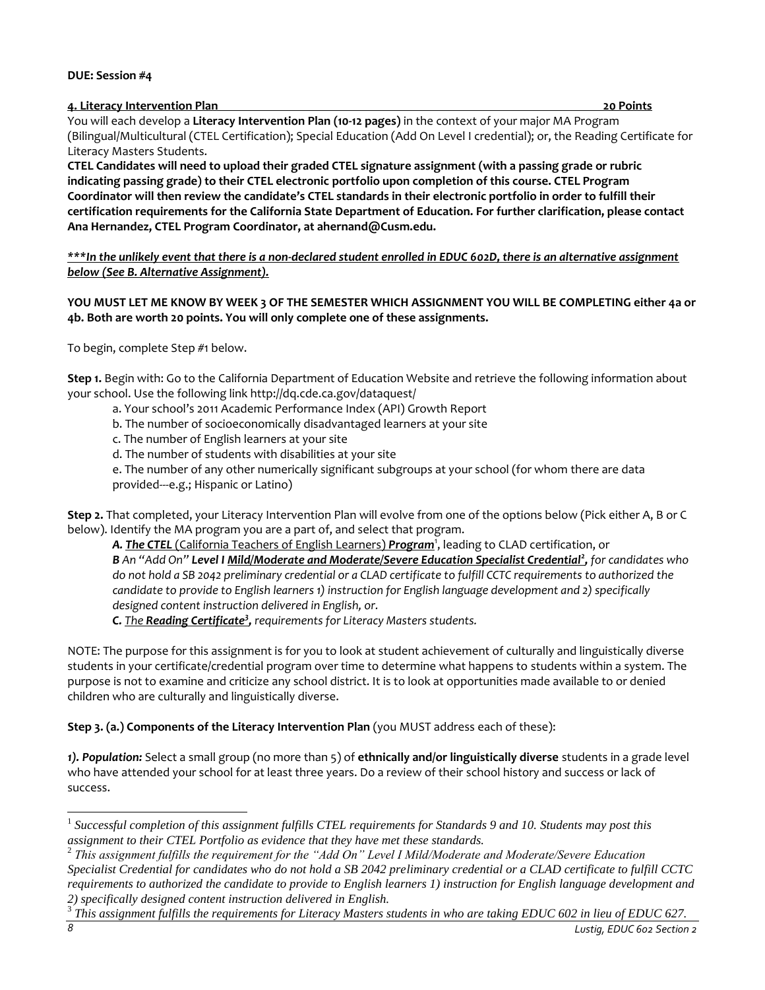#### **DUE: Session #4**

**4. Literacy Intervention Plan 20 Points** 

You will each develop a **Literacy Intervention Plan (10-12 pages)** in the context of your major MA Program (Bilingual/Multicultural (CTEL Certification); Special Education (Add On Level I credential); or, the Reading Certificate for Literacy Masters Students.

**CTEL Candidates will need to upload their graded CTEL signature assignment (with a passing grade or rubric indicating passing grade) to their CTEL electronic portfolio upon completion of this course. CTEL Program Coordinator will then review the candidate's CTEL standards in their electronic portfolio in order to fulfill their certification requirements for the California State Department of Education. For further clarification, please contact Ana Hernandez, CTEL Program Coordinator, at ahernand@Cusm.edu.** 

*\*\*\*In the unlikely event that there is a non-declared student enrolled in EDUC 602D, there is an alternative assignment below (See B. Alternative Assignment).* 

**YOU MUST LET ME KNOW BY WEEK 3 OF THE SEMESTER WHICH ASSIGNMENT YOU WILL BE COMPLETING either 4a or 4b. Both are worth 20 points. You will only complete one of these assignments.** 

To begin, complete Step #1 below.

**Step 1.** Begin with: Go to the California Department of Education Website and retrieve the following information about your school. Use the following link http://dq.cde.ca.gov/dataquest/

a. Your school's 2011 Academic Performance Index (API) Growth Report

b. The number of socioeconomically disadvantaged learners at your site

c. The number of English learners at your site

d. The number of students with disabilities at your site

e. The number of any other numerically significant subgroups at your school (for whom there are data provided---e.g.; Hispanic or Latino)

**Step 2.** That completed, your Literacy Intervention Plan will evolve from one of the options below (Pick either A, B or C below). Identify the MA program you are a part of, and select that program.

*A. The CTEL* (California Teachers of English Learners) *Program* 1 , leading to CLAD certification, or *B An "Add On" Level I Mild/Moderate and Moderate/Severe Education Specialist Credential<sup>2</sup> , for candidates who do not hold a SB 2042 preliminary credential or a CLAD certificate to fulfill CCTC requirements to authorized the candidate to provide to English learners 1) instruction for English language development and 2) specifically designed content instruction delivered in English, or.* 

**C.** The **Reading Certificate<sup>3</sup>, requirements for Literacy Masters students.** 

NOTE: The purpose for this assignment is for you to look at student achievement of culturally and linguistically diverse students in your certificate/credential program over time to determine what happens to students within a system. The purpose is not to examine and criticize any school district. It is to look at opportunities made available to or denied children who are culturally and linguistically diverse.

**Step 3. (a.) Components of the Literacy Intervention Plan** (you MUST address each of these):

*1). Population:* Select a small group (no more than 5) of **ethnically and/or linguistically diverse** students in a grade level who have attended your school for at least three years. Do a review of their school history and success or lack of success.

 $\overline{\phantom{a}}$ 

<sup>1</sup> *Successful completion of this assignment fulfills CTEL requirements for Standards 9 and 10. Students may post this assignment to their CTEL Portfolio as evidence that they have met these standards.*

<sup>2</sup> *This assignment fulfills the requirement for the "Add On" Level I Mild/Moderate and Moderate/Severe Education Specialist Credential for candidates who do not hold a SB 2042 preliminary credential or a CLAD certificate to fulfill CCTC requirements to authorized the candidate to provide to English learners 1) instruction for English language development and 2) specifically designed content instruction delivered in English.*

<sup>3</sup> *This assignment fulfills the requirements for Literacy Masters students in who are taking EDUC 602 in lieu of EDUC 627.*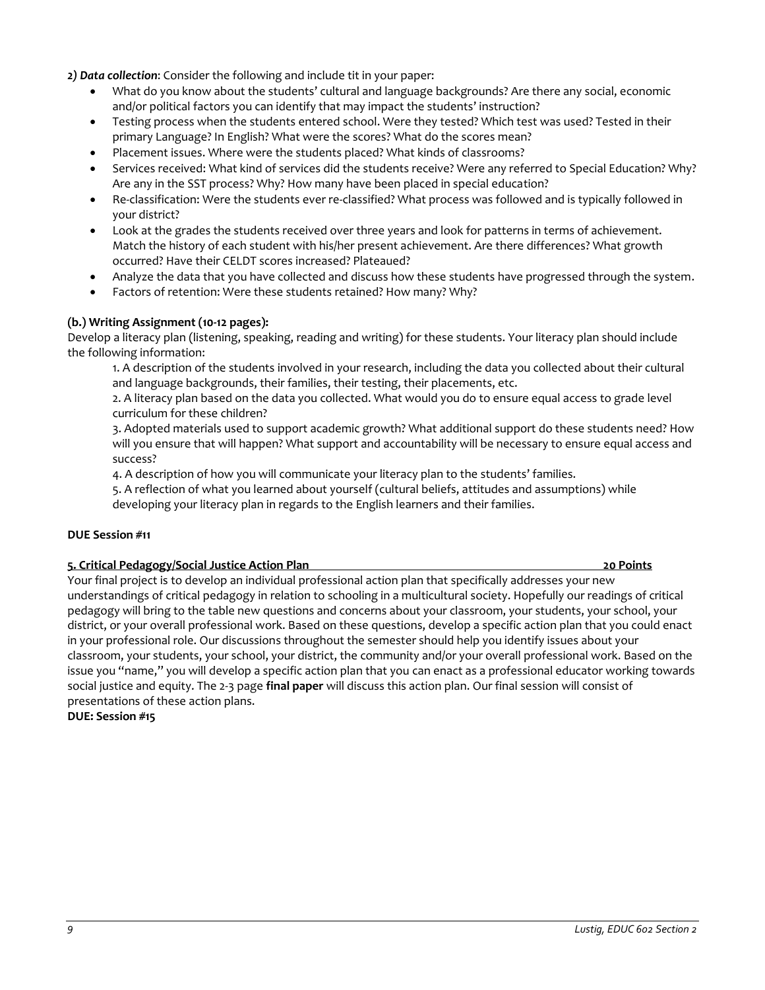*2) Data collection*: Consider the following and include tit in your paper:

- What do you know about the students' cultural and language backgrounds? Are there any social, economic and/or political factors you can identify that may impact the students' instruction?
- Testing process when the students entered school. Were they tested? Which test was used? Tested in their primary Language? In English? What were the scores? What do the scores mean?
- Placement issues. Where were the students placed? What kinds of classrooms?
- Services received: What kind of services did the students receive? Were any referred to Special Education? Why? Are any in the SST process? Why? How many have been placed in special education?
- Re-classification: Were the students ever re-classified? What process was followed and is typically followed in your district?
- Look at the grades the students received over three years and look for patterns in terms of achievement. Match the history of each student with his/her present achievement. Are there differences? What growth occurred? Have their CELDT scores increased? Plateaued?
- Analyze the data that you have collected and discuss how these students have progressed through the system.
- Factors of retention: Were these students retained? How many? Why?

#### **(b.) Writing Assignment (10-12 pages):**

Develop a literacy plan (listening, speaking, reading and writing) for these students. Your literacy plan should include the following information:

1. A description of the students involved in your research, including the data you collected about their cultural and language backgrounds, their families, their testing, their placements, etc.

2. A literacy plan based on the data you collected. What would you do to ensure equal access to grade level curriculum for these children?

3. Adopted materials used to support academic growth? What additional support do these students need? How will you ensure that will happen? What support and accountability will be necessary to ensure equal access and success?

4. A description of how you will communicate your literacy plan to the students' families.

5. A reflection of what you learned about yourself (cultural beliefs, attitudes and assumptions) while developing your literacy plan in regards to the English learners and their families.

#### **DUE Session #11**

#### **5. Critical Pedagogy/Social Justice Action Plan 20 Points**

Your final project is to develop an individual professional action plan that specifically addresses your new understandings of critical pedagogy in relation to schooling in a multicultural society. Hopefully our readings of critical pedagogy will bring to the table new questions and concerns about your classroom, your students, your school, your district, or your overall professional work. Based on these questions, develop a specific action plan that you could enact in your professional role. Our discussions throughout the semester should help you identify issues about your classroom, your students, your school, your district, the community and/or your overall professional work. Based on the issue you "name," you will develop a specific action plan that you can enact as a professional educator working towards social justice and equity. The 2-3 page **final paper** will discuss this action plan. Our final session will consist of presentations of these action plans.

**DUE: Session #15**

#### *9 Lustig, EDUC 602 Section 2*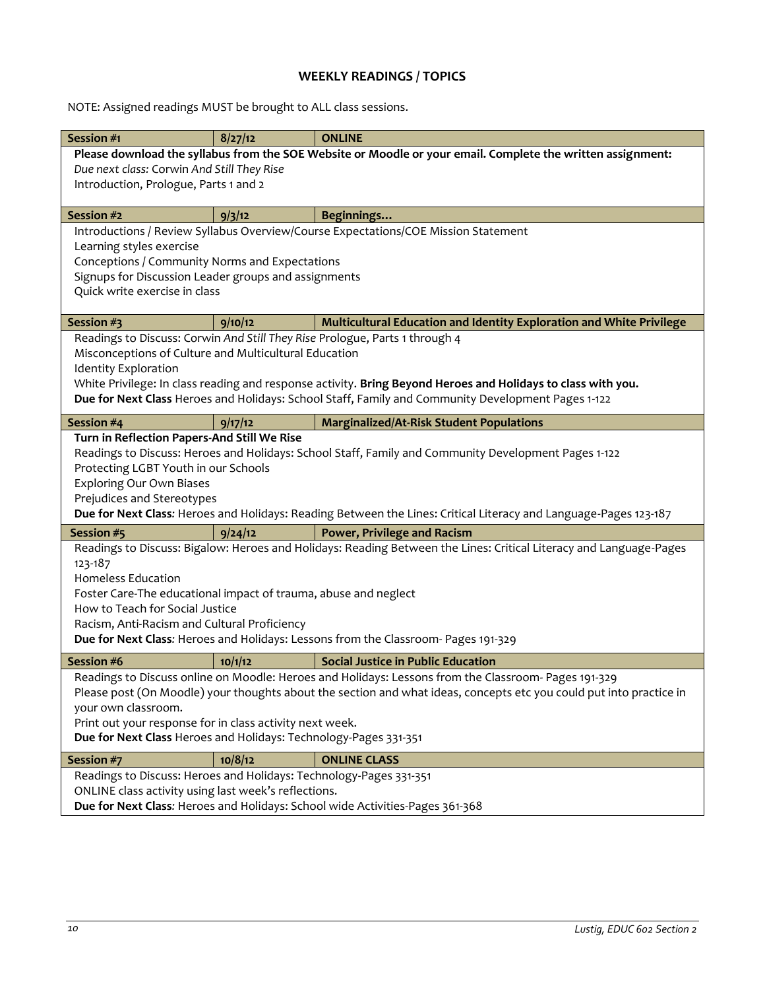# **WEEKLY READINGS / TOPICS**

NOTE: Assigned readings MUST be brought to ALL class sessions.

| Session #1                                                                                                          | 8/27/12 | <b>ONLINE</b>                                                                                                      |  |  |
|---------------------------------------------------------------------------------------------------------------------|---------|--------------------------------------------------------------------------------------------------------------------|--|--|
| Please download the syllabus from the SOE Website or Moodle or your email. Complete the written assignment:         |         |                                                                                                                    |  |  |
| Due next class: Corwin And Still They Rise                                                                          |         |                                                                                                                    |  |  |
| Introduction, Prologue, Parts 1 and 2                                                                               |         |                                                                                                                    |  |  |
|                                                                                                                     |         |                                                                                                                    |  |  |
| Session #2                                                                                                          | 9/3/12  | Beginnings                                                                                                         |  |  |
| Introductions / Review Syllabus Overview/Course Expectations/COE Mission Statement                                  |         |                                                                                                                    |  |  |
| Learning styles exercise                                                                                            |         |                                                                                                                    |  |  |
| Conceptions / Community Norms and Expectations                                                                      |         |                                                                                                                    |  |  |
| Signups for Discussion Leader groups and assignments                                                                |         |                                                                                                                    |  |  |
| Quick write exercise in class                                                                                       |         |                                                                                                                    |  |  |
| Session #3                                                                                                          | 9/10/12 | Multicultural Education and Identity Exploration and White Privilege                                               |  |  |
| Readings to Discuss: Corwin And Still They Rise Prologue, Parts 1 through 4                                         |         |                                                                                                                    |  |  |
| Misconceptions of Culture and Multicultural Education                                                               |         |                                                                                                                    |  |  |
| <b>Identity Exploration</b>                                                                                         |         |                                                                                                                    |  |  |
| White Privilege: In class reading and response activity. Bring Beyond Heroes and Holidays to class with you.        |         |                                                                                                                    |  |  |
| Due for Next Class Heroes and Holidays: School Staff, Family and Community Development Pages 1-122                  |         |                                                                                                                    |  |  |
| Session #4                                                                                                          | 9/17/12 | <b>Marginalized/At-Risk Student Populations</b>                                                                    |  |  |
| Turn in Reflection Papers-And Still We Rise                                                                         |         |                                                                                                                    |  |  |
| Readings to Discuss: Heroes and Holidays: School Staff, Family and Community Development Pages 1-122                |         |                                                                                                                    |  |  |
| Protecting LGBT Youth in our Schools                                                                                |         |                                                                                                                    |  |  |
| <b>Exploring Our Own Biases</b>                                                                                     |         |                                                                                                                    |  |  |
| Prejudices and Stereotypes                                                                                          |         |                                                                                                                    |  |  |
|                                                                                                                     |         | Due for Next Class: Heroes and Holidays: Reading Between the Lines: Critical Literacy and Language-Pages 123-187   |  |  |
| Session #5                                                                                                          | 9/24/12 | <b>Power, Privilege and Racism</b>                                                                                 |  |  |
|                                                                                                                     |         | Readings to Discuss: Bigalow: Heroes and Holidays: Reading Between the Lines: Critical Literacy and Language-Pages |  |  |
| 123-187                                                                                                             |         |                                                                                                                    |  |  |
| <b>Homeless Education</b>                                                                                           |         |                                                                                                                    |  |  |
| Foster Care-The educational impact of trauma, abuse and neglect                                                     |         |                                                                                                                    |  |  |
| How to Teach for Social Justice                                                                                     |         |                                                                                                                    |  |  |
| Racism, Anti-Racism and Cultural Proficiency                                                                        |         |                                                                                                                    |  |  |
| Due for Next Class: Heroes and Holidays: Lessons from the Classroom- Pages 191-329                                  |         |                                                                                                                    |  |  |
| Session #6                                                                                                          | 10/1/12 | <b>Social Justice in Public Education</b>                                                                          |  |  |
| Readings to Discuss online on Moodle: Heroes and Holidays: Lessons from the Classroom- Pages 191-329                |         |                                                                                                                    |  |  |
| Please post (On Moodle) your thoughts about the section and what ideas, concepts etc you could put into practice in |         |                                                                                                                    |  |  |
| your own classroom.                                                                                                 |         |                                                                                                                    |  |  |
| Print out your response for in class activity next week.                                                            |         |                                                                                                                    |  |  |
| Due for Next Class Heroes and Holidays: Technology-Pages 331-351                                                    |         |                                                                                                                    |  |  |
| Session #7                                                                                                          | 10/8/12 | <b>ONLINE CLASS</b>                                                                                                |  |  |
| Readings to Discuss: Heroes and Holidays: Technology-Pages 331-351                                                  |         |                                                                                                                    |  |  |
| ONLINE class activity using last week's reflections.                                                                |         |                                                                                                                    |  |  |
| Due for Next Class: Heroes and Holidays: School wide Activities-Pages 361-368                                       |         |                                                                                                                    |  |  |